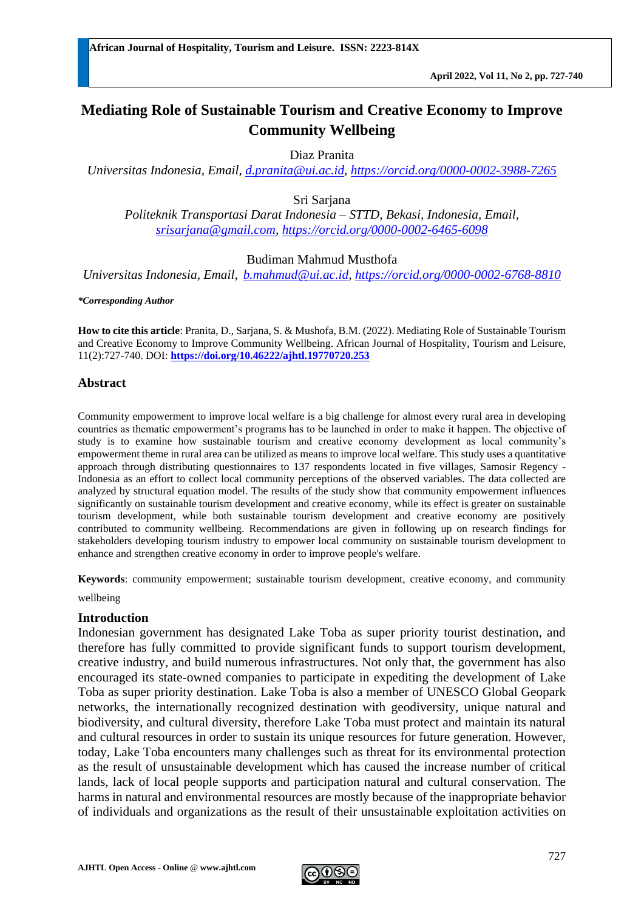# **Mediating Role of Sustainable Tourism and Creative Economy to Improve Community Wellbeing**

Diaz Pranita

*Universitas Indonesia, Email, [d.pranita@ui.ac.id,](mailto:d.pranita@ui.ac.id)<https://orcid.org/0000-0002-3988-7265>*

Sri Sariana

*Politeknik Transportasi Darat Indonesia – STTD, Bekasi, Indonesia, Email, [srisarjana@gmail.com,](mailto:srisarjana@gmail.com)<https://orcid.org/>[0000-0002-6465-6098](https://orcid.org/my-orcid?orcid=0000-0002-6465-6098)*

#### Budiman Mahmud Musthofa

*Universitas Indonesia, Email, [b.mahmud@ui.ac.id,](mailto:b.mahmud@ui.ac.id)<https://orcid.org/0000-0002-6768-8810>*

*\*Corresponding Author*

**How to cite this article**: Pranita, D., Sarjana, S. & Mushofa, B.M. (2022). Mediating Role of Sustainable Tourism and Creative Economy to Improve Community Wellbeing. African Journal of Hospitality, Tourism and Leisure, 11(2):727-740. DOI: **<https://doi.org/10.46222/ajhtl.19770720.253>**

#### **Abstract**

Community empowerment to improve local welfare is a big challenge for almost every rural area in developing countries as thematic empowerment's programs has to be launched in order to make it happen. The objective of study is to examine how sustainable tourism and creative economy development as local community's empowerment theme in rural area can be utilized as means to improve local welfare. This study uses a quantitative approach through distributing questionnaires to 137 respondents located in five villages, Samosir Regency - Indonesia as an effort to collect local community perceptions of the observed variables. The data collected are analyzed by structural equation model. The results of the study show that community empowerment influences significantly on sustainable tourism development and creative economy, while its effect is greater on sustainable tourism development, while both sustainable tourism development and creative economy are positively contributed to community wellbeing. Recommendations are given in following up on research findings for stakeholders developing tourism industry to empower local community on sustainable tourism development to enhance and strengthen creative economy in order to improve people's welfare.

**Keywords**: community empowerment; sustainable tourism development, creative economy, and community

wellbeing

#### **Introduction**

Indonesian government has designated Lake Toba as super priority tourist destination, and therefore has fully committed to provide significant funds to support tourism development, creative industry, and build numerous infrastructures. Not only that, the government has also encouraged its state-owned companies to participate in expediting the development of Lake Toba as super priority destination. Lake Toba is also a member of UNESCO Global Geopark networks, the internationally recognized destination with geodiversity, unique natural and biodiversity, and cultural diversity, therefore Lake Toba must protect and maintain its natural and cultural resources in order to sustain its unique resources for future generation. However, today, Lake Toba encounters many challenges such as threat for its environmental protection as the result of unsustainable development which has caused the increase number of critical lands, lack of local people supports and participation natural and cultural conservation. The harms in natural and environmental resources are mostly because of the inappropriate behavior of individuals and organizations as the result of their unsustainable exploitation activities on

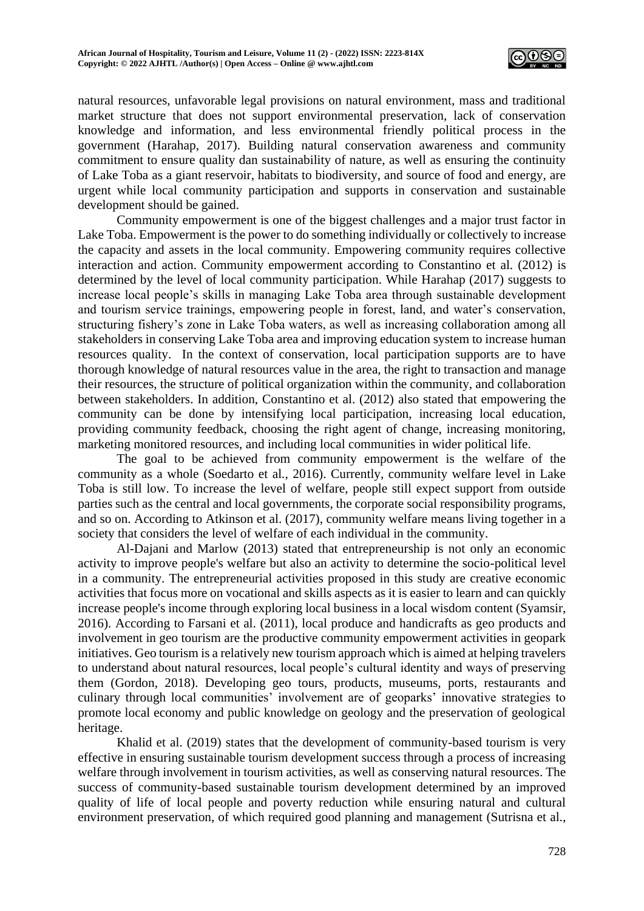

natural resources, unfavorable legal provisions on natural environment, mass and traditional market structure that does not support environmental preservation, lack of conservation knowledge and information, and less environmental friendly political process in the government (Harahap, 2017). Building natural conservation awareness and community commitment to ensure quality dan sustainability of nature, as well as ensuring the continuity of Lake Toba as a giant reservoir, habitats to biodiversity, and source of food and energy, are urgent while local community participation and supports in conservation and sustainable development should be gained.

Community empowerment is one of the biggest challenges and a major trust factor in Lake Toba. Empowerment is the power to do something individually or collectively to increase the capacity and assets in the local community. Empowering community requires collective interaction and action. Community empowerment according to Constantino et al. (2012) is determined by the level of local community participation. While Harahap (2017) suggests to increase local people's skills in managing Lake Toba area through sustainable development and tourism service trainings, empowering people in forest, land, and water's conservation, structuring fishery's zone in Lake Toba waters, as well as increasing collaboration among all stakeholders in conserving Lake Toba area and improving education system to increase human resources quality. In the context of conservation, local participation supports are to have thorough knowledge of natural resources value in the area, the right to transaction and manage their resources, the structure of political organization within the community, and collaboration between stakeholders. In addition, Constantino et al. (2012) also stated that empowering the community can be done by intensifying local participation, increasing local education, providing community feedback, choosing the right agent of change, increasing monitoring, marketing monitored resources, and including local communities in wider political life.

The goal to be achieved from community empowerment is the welfare of the community as a whole (Soedarto et al*.*, 2016). Currently, community welfare level in Lake Toba is still low. To increase the level of welfare, people still expect support from outside parties such as the central and local governments, the corporate social responsibility programs, and so on. According to Atkinson et al. (2017), community welfare means living together in a society that considers the level of welfare of each individual in the community.

Al-Dajani and Marlow (2013) stated that entrepreneurship is not only an economic activity to improve people's welfare but also an activity to determine the socio-political level in a community. The entrepreneurial activities proposed in this study are creative economic activities that focus more on vocational and skills aspects as it is easier to learn and can quickly increase people's income through exploring local business in a local wisdom content (Syamsir, 2016). According to Farsani et al. (2011), local produce and handicrafts as geo products and involvement in geo tourism are the productive community empowerment activities in geopark initiatives. Geo tourism is a relatively new tourism approach which is aimed at helping travelers to understand about natural resources, local people's cultural identity and ways of preserving them (Gordon, 2018). Developing geo tours, products, museums, ports, restaurants and culinary through local communities' involvement are of geoparks' innovative strategies to promote local economy and public knowledge on geology and the preservation of geological heritage.

Khalid et al. (2019) states that the development of community-based tourism is very effective in ensuring sustainable tourism development success through a process of increasing welfare through involvement in tourism activities, as well as conserving natural resources. The success of community-based sustainable tourism development determined by an improved quality of life of local people and poverty reduction while ensuring natural and cultural environment preservation, of which required good planning and management (Sutrisna et al.,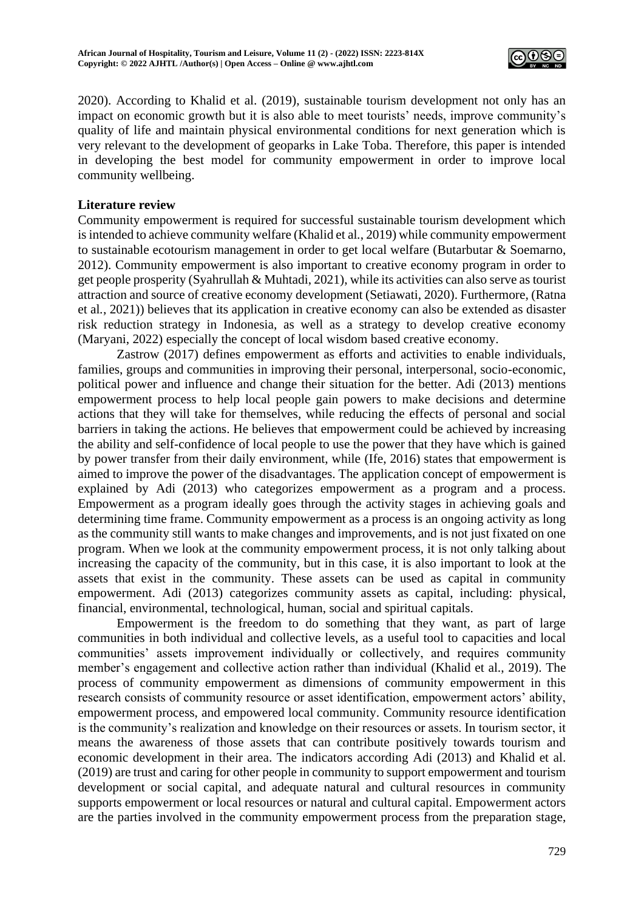

2020). According to Khalid et al. (2019), sustainable tourism development not only has an impact on economic growth but it is also able to meet tourists' needs, improve community's quality of life and maintain physical environmental conditions for next generation which is very relevant to the development of geoparks in Lake Toba. Therefore, this paper is intended in developing the best model for community empowerment in order to improve local community wellbeing.

## **Literature review**

Community empowerment is required for successful sustainable tourism development which is intended to achieve community welfare (Khalid et al*.*, 2019) while community empowerment to sustainable ecotourism management in order to get local welfare (Butarbutar & Soemarno, 2012). Community empowerment is also important to creative economy program in order to get people prosperity (Syahrullah & Muhtadi, 2021), while its activities can also serve as tourist attraction and source of creative economy development (Setiawati, 2020). Furthermore, (Ratna et al*.*, 2021)) believes that its application in creative economy can also be extended as disaster risk reduction strategy in Indonesia, as well as a strategy to develop creative economy (Maryani, 2022) especially the concept of local wisdom based creative economy.

Zastrow (2017) defines empowerment as efforts and activities to enable individuals, families, groups and communities in improving their personal, interpersonal, socio-economic, political power and influence and change their situation for the better. Adi (2013) mentions empowerment process to help local people gain powers to make decisions and determine actions that they will take for themselves, while reducing the effects of personal and social barriers in taking the actions. He believes that empowerment could be achieved by increasing the ability and self-confidence of local people to use the power that they have which is gained by power transfer from their daily environment, while (Ife, 2016) states that empowerment is aimed to improve the power of the disadvantages. The application concept of empowerment is explained by Adi (2013) who categorizes empowerment as a program and a process. Empowerment as a program ideally goes through the activity stages in achieving goals and determining time frame. Community empowerment as a process is an ongoing activity as long as the community still wants to make changes and improvements, and is not just fixated on one program. When we look at the community empowerment process, it is not only talking about increasing the capacity of the community, but in this case, it is also important to look at the assets that exist in the community. These assets can be used as capital in community empowerment. Adi (2013) categorizes community assets as capital, including: physical, financial, environmental, technological, human, social and spiritual capitals.

Empowerment is the freedom to do something that they want, as part of large communities in both individual and collective levels, as a useful tool to capacities and local communities' assets improvement individually or collectively, and requires community member's engagement and collective action rather than individual (Khalid et al., 2019). The process of community empowerment as dimensions of community empowerment in this research consists of community resource or asset identification, empowerment actors' ability, empowerment process, and empowered local community. Community resource identification is the community's realization and knowledge on their resources or assets. In tourism sector, it means the awareness of those assets that can contribute positively towards tourism and economic development in their area. The indicators according Adi (2013) and Khalid et al. (2019) are trust and caring for other people in community to support empowerment and tourism development or social capital, and adequate natural and cultural resources in community supports empowerment or local resources or natural and cultural capital. Empowerment actors are the parties involved in the community empowerment process from the preparation stage,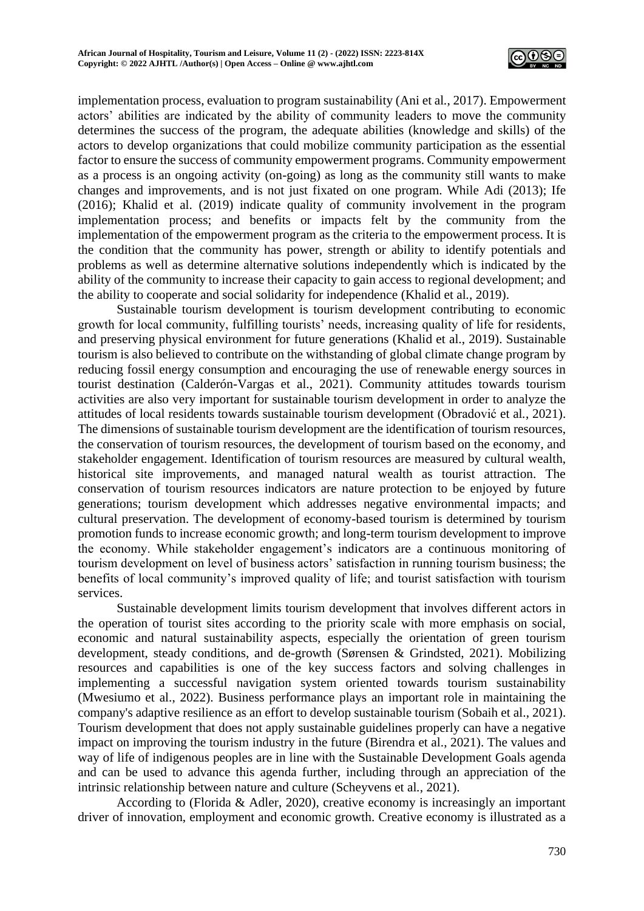

implementation process, evaluation to program sustainability (Ani et al*.*, 2017). Empowerment actors' abilities are indicated by the ability of community leaders to move the community determines the success of the program, the adequate abilities (knowledge and skills) of the actors to develop organizations that could mobilize community participation as the essential factor to ensure the success of community empowerment programs. Community empowerment as a process is an ongoing activity (on-going) as long as the community still wants to make changes and improvements, and is not just fixated on one program. While Adi (2013); Ife (2016); Khalid et al. (2019) indicate quality of community involvement in the program implementation process; and benefits or impacts felt by the community from the implementation of the empowerment program as the criteria to the empowerment process. It is the condition that the community has power, strength or ability to identify potentials and problems as well as determine alternative solutions independently which is indicated by the ability of the community to increase their capacity to gain access to regional development; and the ability to cooperate and social solidarity for independence (Khalid et al*.*, 2019).

Sustainable tourism development is tourism development contributing to economic growth for local community, fulfilling tourists' needs, increasing quality of life for residents, and preserving physical environment for future generations (Khalid et al., 2019). Sustainable tourism is also believed to contribute on the withstanding of global climate change program by reducing fossil energy consumption and encouraging the use of renewable energy sources in tourist destination (Calderón-Vargas et al., 2021). Community attitudes towards tourism activities are also very important for sustainable tourism development in order to analyze the attitudes of local residents towards sustainable tourism development (Obradović et al*.*, 2021). The dimensions of sustainable tourism development are the identification of tourism resources, the conservation of tourism resources, the development of tourism based on the economy, and stakeholder engagement. Identification of tourism resources are measured by cultural wealth, historical site improvements, and managed natural wealth as tourist attraction. The conservation of tourism resources indicators are nature protection to be enjoyed by future generations; tourism development which addresses negative environmental impacts; and cultural preservation. The development of economy-based tourism is determined by tourism promotion funds to increase economic growth; and long-term tourism development to improve the economy. While stakeholder engagement's indicators are a continuous monitoring of tourism development on level of business actors' satisfaction in running tourism business; the benefits of local community's improved quality of life; and tourist satisfaction with tourism services.

Sustainable development limits tourism development that involves different actors in the operation of tourist sites according to the priority scale with more emphasis on social, economic and natural sustainability aspects, especially the orientation of green tourism development, steady conditions, and de-growth (Sørensen & Grindsted, 2021). Mobilizing resources and capabilities is one of the key success factors and solving challenges in implementing a successful navigation system oriented towards tourism sustainability (Mwesiumo et al., 2022). Business performance plays an important role in maintaining the company's adaptive resilience as an effort to develop sustainable tourism (Sobaih et al., 2021). Tourism development that does not apply sustainable guidelines properly can have a negative impact on improving the tourism industry in the future (Birendra et al., 2021). The values and way of life of indigenous peoples are in line with the Sustainable Development Goals agenda and can be used to advance this agenda further, including through an appreciation of the intrinsic relationship between nature and culture (Scheyvens et al*.*, 2021).

According to (Florida & Adler, 2020), creative economy is increasingly an important driver of innovation, employment and economic growth. Creative economy is illustrated as a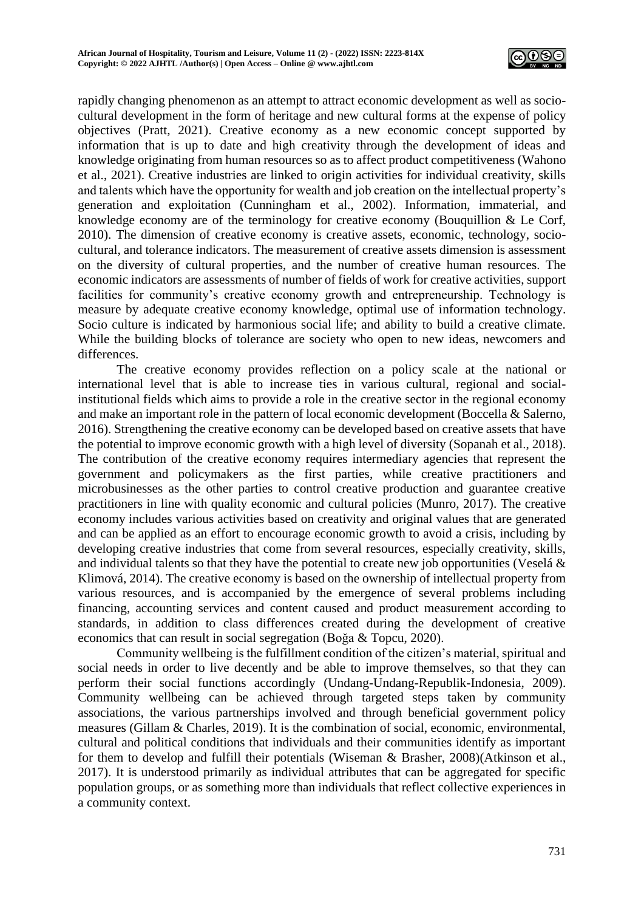

rapidly changing phenomenon as an attempt to attract economic development as well as sociocultural development in the form of heritage and new cultural forms at the expense of policy objectives (Pratt, 2021). Creative economy as a new economic concept supported by information that is up to date and high creativity through the development of ideas and knowledge originating from human resources so as to affect product competitiveness (Wahono et al., 2021). Creative industries are linked to origin activities for individual creativity, skills and talents which have the opportunity for wealth and job creation on the intellectual property's generation and exploitation (Cunningham et al., 2002). Information, immaterial, and knowledge economy are of the terminology for creative economy (Bouquillion & Le Corf, 2010). The dimension of creative economy is creative assets, economic, technology, sociocultural, and tolerance indicators. The measurement of creative assets dimension is assessment on the diversity of cultural properties, and the number of creative human resources. The economic indicators are assessments of number of fields of work for creative activities, support facilities for community's creative economy growth and entrepreneurship. Technology is measure by adequate creative economy knowledge, optimal use of information technology. Socio culture is indicated by harmonious social life; and ability to build a creative climate. While the building blocks of tolerance are society who open to new ideas, newcomers and differences.

The creative economy provides reflection on a policy scale at the national or international level that is able to increase ties in various cultural, regional and socialinstitutional fields which aims to provide a role in the creative sector in the regional economy and make an important role in the pattern of local economic development (Boccella & Salerno, 2016). Strengthening the creative economy can be developed based on creative assets that have the potential to improve economic growth with a high level of diversity (Sopanah et al., 2018). The contribution of the creative economy requires intermediary agencies that represent the government and policymakers as the first parties, while creative practitioners and microbusinesses as the other parties to control creative production and guarantee creative practitioners in line with quality economic and cultural policies (Munro, 2017). The creative economy includes various activities based on creativity and original values that are generated and can be applied as an effort to encourage economic growth to avoid a crisis, including by developing creative industries that come from several resources, especially creativity, skills, and individual talents so that they have the potential to create new job opportunities (Veselá & Klimová, 2014). The creative economy is based on the ownership of intellectual property from various resources, and is accompanied by the emergence of several problems including financing, accounting services and content caused and product measurement according to standards, in addition to class differences created during the development of creative economics that can result in social segregation (Boǧa & Topcu, 2020).

Community wellbeing is the fulfillment condition of the citizen's material, spiritual and social needs in order to live decently and be able to improve themselves, so that they can perform their social functions accordingly (Undang-Undang-Republik-Indonesia, 2009). Community wellbeing can be achieved through targeted steps taken by community associations, the various partnerships involved and through beneficial government policy measures (Gillam & Charles, 2019). It is the combination of social, economic, environmental, cultural and political conditions that individuals and their communities identify as important for them to develop and fulfill their potentials (Wiseman & Brasher, 2008)(Atkinson et al., 2017). It is understood primarily as individual attributes that can be aggregated for specific population groups, or as something more than individuals that reflect collective experiences in a community context.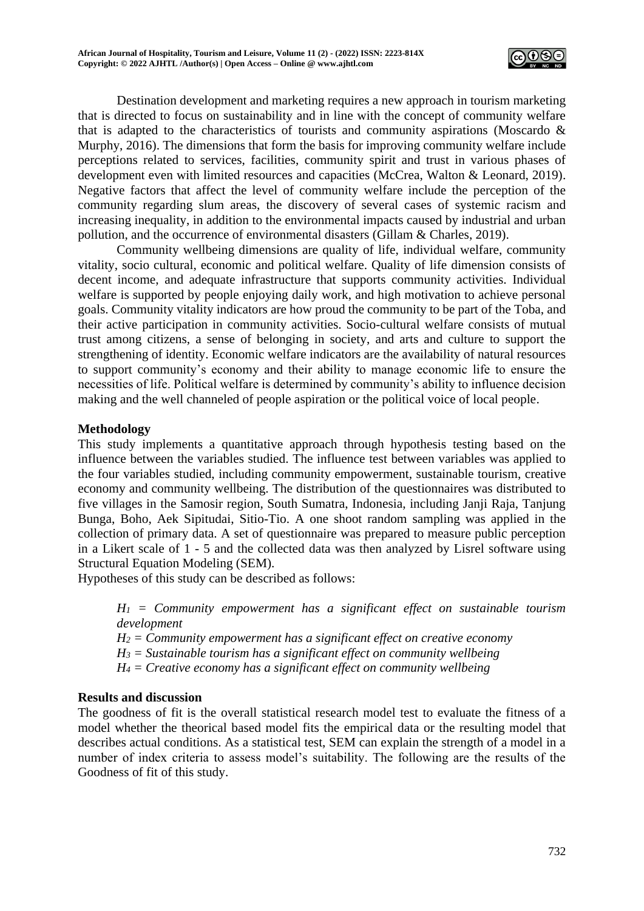

Destination development and marketing requires a new approach in tourism marketing that is directed to focus on sustainability and in line with the concept of community welfare that is adapted to the characteristics of tourists and community aspirations (Moscardo & Murphy, 2016). The dimensions that form the basis for improving community welfare include perceptions related to services, facilities, community spirit and trust in various phases of development even with limited resources and capacities (McCrea, Walton & Leonard, 2019). Negative factors that affect the level of community welfare include the perception of the community regarding slum areas, the discovery of several cases of systemic racism and increasing inequality, in addition to the environmental impacts caused by industrial and urban pollution, and the occurrence of environmental disasters (Gillam & Charles, 2019).

Community wellbeing dimensions are quality of life, individual welfare, community vitality, socio cultural, economic and political welfare. Quality of life dimension consists of decent income, and adequate infrastructure that supports community activities. Individual welfare is supported by people enjoying daily work, and high motivation to achieve personal goals. Community vitality indicators are how proud the community to be part of the Toba, and their active participation in community activities. Socio-cultural welfare consists of mutual trust among citizens, a sense of belonging in society, and arts and culture to support the strengthening of identity. Economic welfare indicators are the availability of natural resources to support community's economy and their ability to manage economic life to ensure the necessities of life. Political welfare is determined by community's ability to influence decision making and the well channeled of people aspiration or the political voice of local people.

## **Methodology**

This study implements a quantitative approach through hypothesis testing based on the influence between the variables studied. The influence test between variables was applied to the four variables studied, including community empowerment, sustainable tourism, creative economy and community wellbeing. The distribution of the questionnaires was distributed to five villages in the Samosir region, South Sumatra, Indonesia, including Janji Raja, Tanjung Bunga, Boho, Aek Sipitudai, Sitio-Tio. A one shoot random sampling was applied in the collection of primary data. A set of questionnaire was prepared to measure public perception in a Likert scale of 1 - 5 and the collected data was then analyzed by Lisrel software using Structural Equation Modeling (SEM).

Hypotheses of this study can be described as follows:

*H<sup>1</sup> = Community empowerment has a significant effect on sustainable tourism development*

*H<sup>2</sup> = Community empowerment has a significant effect on creative economy*

*H<sup>3</sup> = Sustainable tourism has a significant effect on community wellbeing*

*H<sup>4</sup> = Creative economy has a significant effect on community wellbeing*

## **Results and discussion**

The goodness of fit is the overall statistical research model test to evaluate the fitness of a model whether the theorical based model fits the empirical data or the resulting model that describes actual conditions. As a statistical test, SEM can explain the strength of a model in a number of index criteria to assess model's suitability. The following are the results of the Goodness of fit of this study.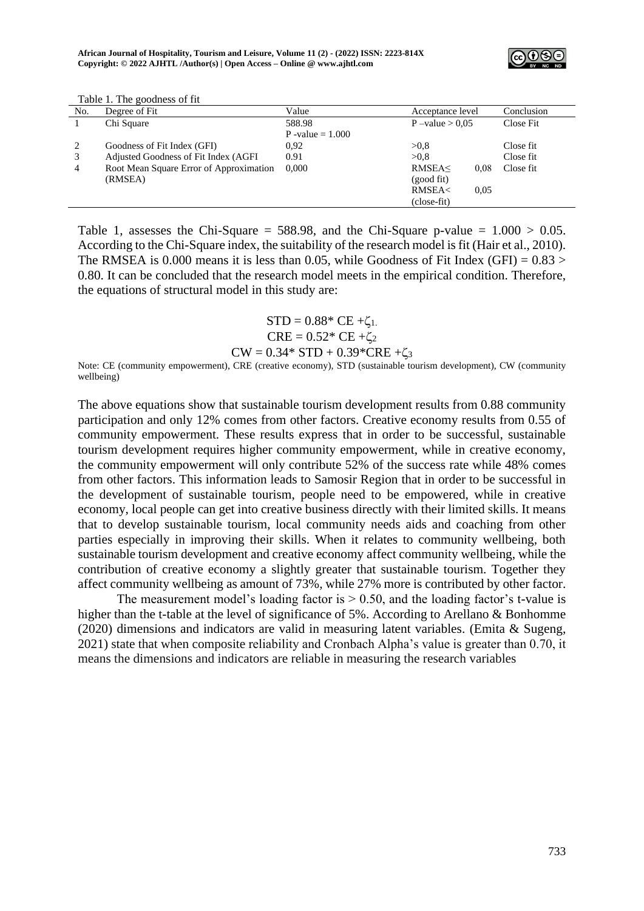

| No. | Degree of Fit                           | Value              | Acceptance level                                | Conclusion |
|-----|-----------------------------------------|--------------------|-------------------------------------------------|------------|
|     | Chi Square                              | 588.98             | $P$ –value $> 0.05$                             | Close Fit  |
|     |                                         | P -value $= 1.000$ |                                                 |            |
| 2   | Goodness of Fit Index (GFI)             | 0.92               | >0.8                                            | Close fit  |
| 3   | Adjusted Goodness of Fit Index (AGFI)   | 0.91               | >0.8                                            | Close fit  |
| 4   | Root Mean Square Error of Approximation | 0.000              | RMSEA<<br>0.08                                  | Close fit  |
|     | (RMSEA)                                 |                    | (good fit)                                      |            |
|     |                                         |                    | <b>RMSEA<br/> <math>\epsilon</math></b><br>0.05 |            |
|     |                                         |                    | (close-fit)                                     |            |

Table 1. The goodness of fit

Table 1, assesses the Chi-Square = 588.98, and the Chi-Square p-value =  $1.000 > 0.05$ . According to the Chi-Square index, the suitability of the research model is fit (Hair et al., 2010). The RMSEA is 0.000 means it is less than 0.05, while Goodness of Fit Index (GFI) =  $0.83$  > 0.80. It can be concluded that the research model meets in the empirical condition. Therefore, the equations of structural model in this study are:

> $STD = 0.88*$  CE + $\zeta_{1}$ .  $CRE = 0.52 * CE + \zeta_2$  $CW = 0.34*STD + 0.39*CRE + \zeta_3$

Note: CE (community empowerment), CRE (creative economy), STD (sustainable tourism development), CW (community wellbeing)

The above equations show that sustainable tourism development results from 0.88 community participation and only 12% comes from other factors. Creative economy results from 0.55 of community empowerment. These results express that in order to be successful, sustainable tourism development requires higher community empowerment, while in creative economy, the community empowerment will only contribute 52% of the success rate while 48% comes from other factors. This information leads to Samosir Region that in order to be successful in the development of sustainable tourism, people need to be empowered, while in creative economy, local people can get into creative business directly with their limited skills. It means that to develop sustainable tourism, local community needs aids and coaching from other parties especially in improving their skills. When it relates to community wellbeing, both sustainable tourism development and creative economy affect community wellbeing, while the contribution of creative economy a slightly greater that sustainable tourism. Together they affect community wellbeing as amount of 73%, while 27% more is contributed by other factor.

The measurement model's loading factor is  $> 0.50$ , and the loading factor's t-value is higher than the t-table at the level of significance of 5%. According to Arellano & Bonhomme (2020) dimensions and indicators are valid in measuring latent variables. (Emita & Sugeng, 2021) state that when composite reliability and Cronbach Alpha's value is greater than 0.70, it means the dimensions and indicators are reliable in measuring the research variables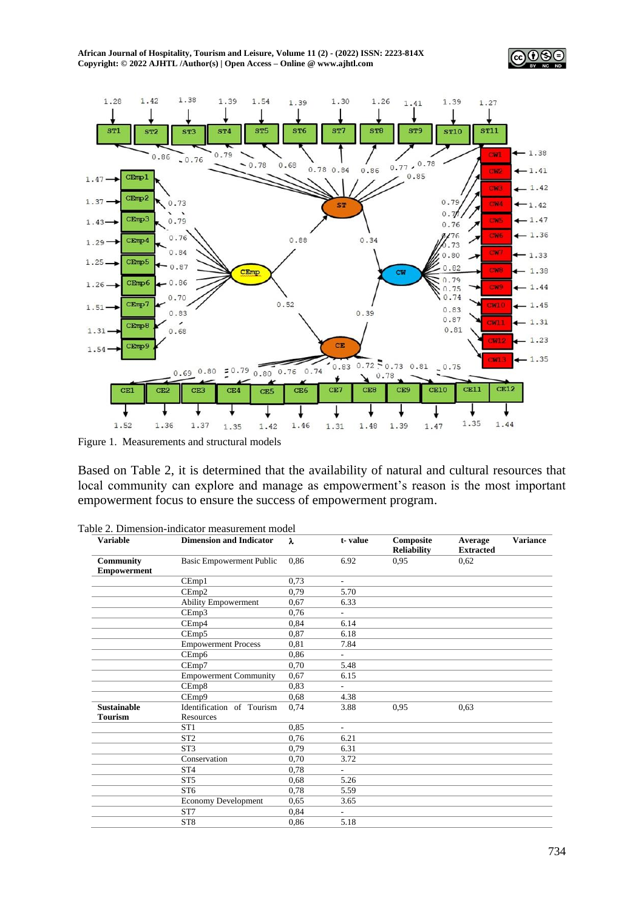**African Journal of Hospitality, Tourism and Leisure, Volume 11 (2) - (2022) ISSN: 2223-814X Copyright: © 2022 AJHTL /Author(s) | Open Access – Online [@ www.ajhtl.com](http://www.ajhtl.com/)** 





Figure 1. Measurements and structural models

Based on Table 2, it is determined that the availability of natural and cultural resources that local community can explore and manage as empowerment's reason is the most important empowerment focus to ensure the success of empowerment program.

| <b>Variable</b>    | <b>Dimension and Indicator</b> | λ    | t-value                  | Composite<br><b>Reliability</b> | Average<br><b>Extracted</b> | <b>Variance</b> |
|--------------------|--------------------------------|------|--------------------------|---------------------------------|-----------------------------|-----------------|
| Community          | Basic Empowerment Public       | 0.86 | 6.92                     | 0.95                            | 0,62                        |                 |
| <b>Empowerment</b> |                                |      |                          |                                 |                             |                 |
|                    | CEmp1                          | 0.73 | $\sim$                   |                                 |                             |                 |
|                    | CEmp2                          | 0,79 | 5.70                     |                                 |                             |                 |
|                    | <b>Ability Empowerment</b>     | 0.67 | 6.33                     |                                 |                             |                 |
|                    | CEmp3                          | 0,76 | ÷.                       |                                 |                             |                 |
|                    | CEmp4                          | 0.84 | 6.14                     |                                 |                             |                 |
|                    | CEmp5                          | 0.87 | 6.18                     |                                 |                             |                 |
|                    | <b>Empowerment Process</b>     | 0,81 | 7.84                     |                                 |                             |                 |
|                    | CEmp6                          | 0.86 | ÷.                       |                                 |                             |                 |
|                    | CEmp7                          | 0,70 | 5.48                     |                                 |                             |                 |
|                    | <b>Empowerment Community</b>   | 0,67 | 6.15                     |                                 |                             |                 |
|                    | CEmp8                          | 0.83 | $\overline{\phantom{0}}$ |                                 |                             |                 |
|                    | CEmp9                          | 0.68 | 4.38                     |                                 |                             |                 |
| <b>Sustainable</b> | Identification of Tourism      | 0.74 | 3.88                     | 0.95                            | 0.63                        |                 |
| <b>Tourism</b>     | Resources                      |      |                          |                                 |                             |                 |
|                    | ST <sub>1</sub>                | 0.85 | ÷                        |                                 |                             |                 |
|                    | ST <sub>2</sub>                | 0,76 | 6.21                     |                                 |                             |                 |
|                    | ST <sub>3</sub>                | 0,79 | 6.31                     |                                 |                             |                 |
|                    | Conservation                   | 0,70 | 3.72                     |                                 |                             |                 |
|                    | ST <sub>4</sub>                | 0.78 | ÷                        |                                 |                             |                 |
|                    | ST <sub>5</sub>                | 0.68 | 5.26                     |                                 |                             |                 |
|                    | ST <sub>6</sub>                | 0,78 | 5.59                     |                                 |                             |                 |
|                    | <b>Economy Development</b>     | 0.65 | 3.65                     |                                 |                             |                 |
|                    | ST7                            | 0.84 | $\sim$                   |                                 |                             |                 |
|                    | ST <sub>8</sub>                | 0.86 | 5.18                     |                                 |                             |                 |
|                    |                                |      |                          |                                 |                             |                 |

|  |  |  | Table 2. Dimension-indicator measurement model |  |
|--|--|--|------------------------------------------------|--|
|--|--|--|------------------------------------------------|--|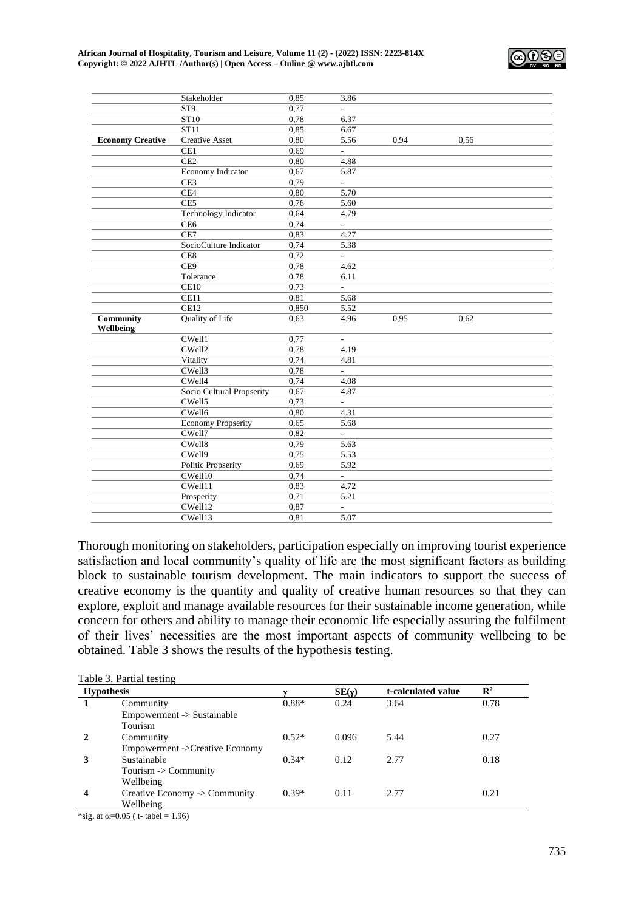

|                         | Stakeholder                 | 0.85         | 3.86                     |      |      |  |
|-------------------------|-----------------------------|--------------|--------------------------|------|------|--|
|                         | ST <sub>9</sub>             | 0.77         |                          |      |      |  |
|                         | ST10                        | 0,78         | 6.37                     |      |      |  |
|                         | ST11                        | 0,85         | 6.67                     |      |      |  |
| <b>Economy Creative</b> | <b>Creative Asset</b>       | 0,80         | 5.56                     | 0.94 | 0,56 |  |
|                         | CE1                         | 0.69         | L.                       |      |      |  |
|                         | CE <sub>2</sub>             | 0,80         | 4.88                     |      |      |  |
|                         | Economy Indicator           | 0,67         | 5.87                     |      |      |  |
|                         | CE <sub>3</sub>             | 0.79         | $\overline{\phantom{a}}$ |      |      |  |
|                         | CE4                         | 0,80         | 5.70                     |      |      |  |
|                         | CE <sub>5</sub>             | 0,76         | 5.60                     |      |      |  |
|                         | <b>Technology Indicator</b> | 0,64         | 4.79                     |      |      |  |
|                         | CE6                         | 0,74         |                          |      |      |  |
|                         | CE7                         | 0,83         | 4.27                     |      |      |  |
|                         | SocioCulture Indicator      | 0,74         | 5.38                     |      |      |  |
|                         | CE <sub>8</sub>             | 0,72         | $\overline{a}$           |      |      |  |
|                         | CE9                         | 0,78         | 4.62                     |      |      |  |
|                         | Tolerance                   | 0.78         | 6.11                     |      |      |  |
|                         | CE10                        | 0.73         | $\overline{a}$           |      |      |  |
|                         | CE11                        | 0.81         | 5.68                     |      |      |  |
|                         | CE12                        | 0.850        | 5.52                     |      |      |  |
| Community<br>Wellbeing  | Quality of Life             | 0.63         | 4.96                     | 0,95 | 0,62 |  |
|                         | CWell1                      | 0,77         | $\overline{a}$           |      |      |  |
|                         | CWell2                      | 0,78         | 4.19                     |      |      |  |
|                         |                             |              |                          |      |      |  |
|                         | Vitality                    | 0,74         | 4.81                     |      |      |  |
|                         | CWell3                      | 0,78         | $\overline{a}$           |      |      |  |
|                         | CWell4                      | 0,74         | 4.08                     |      |      |  |
|                         | Socio Cultural Propserity   | 0,67         | 4.87                     |      |      |  |
|                         | CWell5                      | 0,73         | L.                       |      |      |  |
|                         | CWell6                      | 0.80         | 4.31                     |      |      |  |
|                         | <b>Economy Propserity</b>   | 0,65         | 5.68                     |      |      |  |
|                         | CWell7                      | 0,82         | ÷,                       |      |      |  |
|                         | CWell8                      | 0,79         | 5.63                     |      |      |  |
|                         | CWell9                      | 0,75         | 5.53                     |      |      |  |
|                         | <b>Politic Propserity</b>   | 0,69         | 5.92                     |      |      |  |
|                         | CWell10                     | 0,74         | $\overline{a}$           |      |      |  |
|                         | CWell11                     | 0,83         | 4.72                     |      |      |  |
|                         | Prosperity                  | 0,71         | 5.21                     |      |      |  |
|                         | CWell12<br>CWell13          | 0,87<br>0,81 | $\overline{a}$<br>5.07   |      |      |  |

Thorough monitoring on stakeholders, participation especially on improving tourist experience satisfaction and local community's quality of life are the most significant factors as building block to sustainable tourism development. The main indicators to support the success of creative economy is the quantity and quality of creative human resources so that they can explore, exploit and manage available resources for their sustainable income generation, while concern for others and ability to manage their economic life especially assuring the fulfilment of their lives' necessities are the most important aspects of community wellbeing to be obtained. Table 3 shows the results of the hypothesis testing.

| Table 3. Partial testing |                                 |         |              |                    |                |  |
|--------------------------|---------------------------------|---------|--------------|--------------------|----------------|--|
| <b>Hypothesis</b>        |                                 |         | $SE(\gamma)$ | t-calculated value | $\mathbb{R}^2$ |  |
|                          | Community                       | $0.88*$ | 0.24         | 3.64               | 0.78           |  |
|                          | Empowerment -> Sustainable      |         |              |                    |                |  |
|                          | Tourism                         |         |              |                    |                |  |
|                          | Community                       | $0.52*$ | 0.096        | 5.44               | 0.27           |  |
|                          | Empowerment ->Creative Economy  |         |              |                    |                |  |
|                          | Sustainable                     | $0.34*$ | 0.12         | 2.77               | 0.18           |  |
|                          | Tourism $\rightarrow$ Community |         |              |                    |                |  |
|                          | Wellbeing                       |         |              |                    |                |  |
| 4                        | Creative Economy -> Community   | $0.39*$ | 0.11         | 2.77               | 0.21           |  |
|                          | Wellbeing                       |         |              |                    |                |  |

\*sig. at  $\alpha$ =0.05 ( t- tabel = 1.96)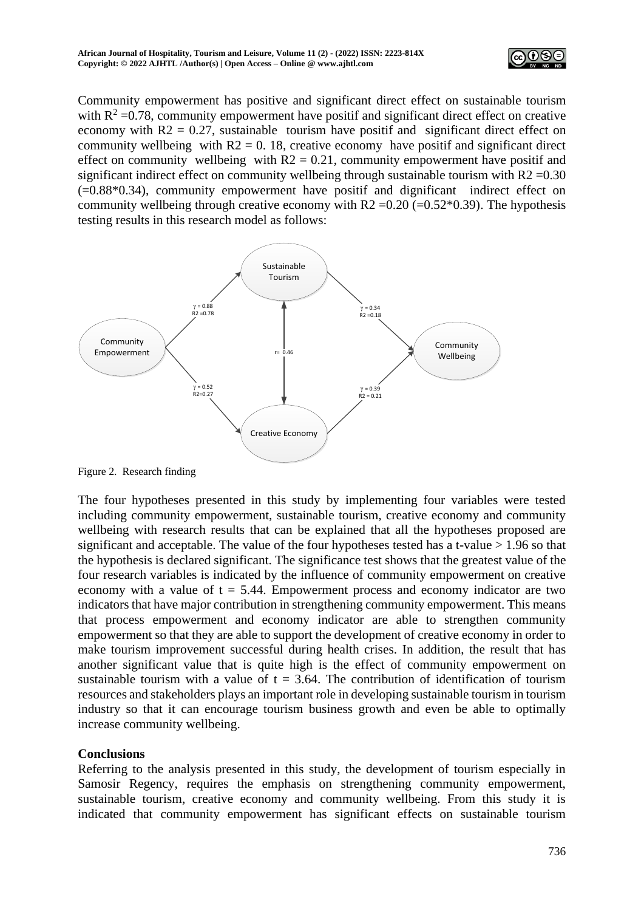

Community empowerment has positive and significant direct effect on sustainable tourism with  $R^2$  =0.78, community empowerment have positif and significant direct effect on creative economy with  $R2 = 0.27$ , sustainable tourism have positif and significant direct effect on community wellbeing with  $R2 = 0$ . 18, creative economy have positif and significant direct effect on community wellbeing with  $R2 = 0.21$ , community empowerment have positif and significant indirect effect on community wellbeing through sustainable tourism with  $R2 = 0.30$ (=0.88\*0.34), community empowerment have positif and dignificant indirect effect on community wellbeing through creative economy with  $R2 = 0.20$  (=0.52 $*0.39$ ). The hypothesis testing results in this research model as follows:



Figure 2. Research finding

The four hypotheses presented in this study by implementing four variables were tested including community empowerment, sustainable tourism, creative economy and community wellbeing with research results that can be explained that all the hypotheses proposed are significant and acceptable. The value of the four hypotheses tested has a t-value  $> 1.96$  so that the hypothesis is declared significant. The significance test shows that the greatest value of the four research variables is indicated by the influence of community empowerment on creative economy with a value of  $t = 5.44$ . Empowerment process and economy indicator are two indicators that have major contribution in strengthening community empowerment. This means that process empowerment and economy indicator are able to strengthen community empowerment so that they are able to support the development of creative economy in order to make tourism improvement successful during health crises. In addition, the result that has another significant value that is quite high is the effect of community empowerment on sustainable tourism with a value of  $t = 3.64$ . The contribution of identification of tourism resources and stakeholders plays an important role in developing sustainable tourism in tourism industry so that it can encourage tourism business growth and even be able to optimally increase community wellbeing.

# **Conclusions**

Referring to the analysis presented in this study, the development of tourism especially in Samosir Regency, requires the emphasis on strengthening community empowerment, sustainable tourism, creative economy and community wellbeing. From this study it is indicated that community empowerment has significant effects on sustainable tourism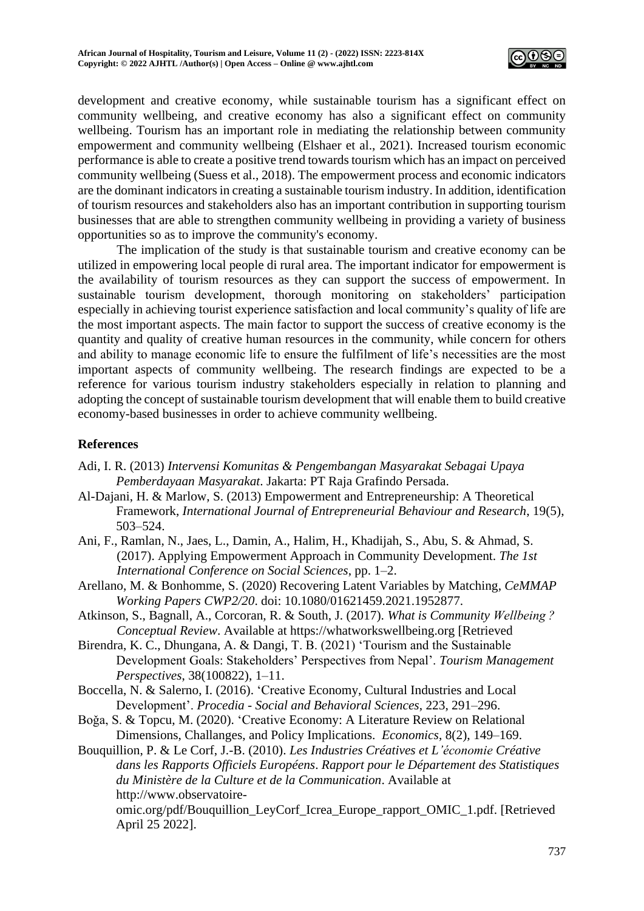

development and creative economy, while sustainable tourism has a significant effect on community wellbeing, and creative economy has also a significant effect on community wellbeing. Tourism has an important role in mediating the relationship between community empowerment and community wellbeing (Elshaer et al., 2021). Increased tourism economic performance is able to create a positive trend towards tourism which has an impact on perceived community wellbeing (Suess et al., 2018). The empowerment process and economic indicators are the dominant indicators in creating a sustainable tourism industry. In addition, identification of tourism resources and stakeholders also has an important contribution in supporting tourism businesses that are able to strengthen community wellbeing in providing a variety of business opportunities so as to improve the community's economy.

The implication of the study is that sustainable tourism and creative economy can be utilized in empowering local people di rural area. The important indicator for empowerment is the availability of tourism resources as they can support the success of empowerment. In sustainable tourism development, thorough monitoring on stakeholders' participation especially in achieving tourist experience satisfaction and local community's quality of life are the most important aspects. The main factor to support the success of creative economy is the quantity and quality of creative human resources in the community, while concern for others and ability to manage economic life to ensure the fulfilment of life's necessities are the most important aspects of community wellbeing. The research findings are expected to be a reference for various tourism industry stakeholders especially in relation to planning and adopting the concept of sustainable tourism development that will enable them to build creative economy-based businesses in order to achieve community wellbeing.

## **References**

- Adi, I. R. (2013) *Intervensi Komunitas & Pengembangan Masyarakat Sebagai Upaya Pemberdayaan Masyarakat*. Jakarta: PT Raja Grafindo Persada.
- Al-Dajani, H. & Marlow, S. (2013) Empowerment and Entrepreneurship: A Theoretical Framework, *International Journal of Entrepreneurial Behaviour and Research*, 19(5), 503–524.
- Ani, F., Ramlan, N., Jaes, L., Damin, A., Halim, H., Khadijah, S., Abu, S. & Ahmad, S. (2017). Applying Empowerment Approach in Community Development. *The 1st International Conference on Social Sciences*, pp. 1–2.
- Arellano, M. & Bonhomme, S. (2020) Recovering Latent Variables by Matching, *CeMMAP Working Papers CWP2/20*. doi: 10.1080/01621459.2021.1952877.
- Atkinson, S., Bagnall, A., Corcoran, R. & South, J. (2017). *What is Community Wellbeing ? Conceptual Review*. Available at https://whatworkswellbeing.org [Retrieved
- Birendra, K. C., Dhungana, A. & Dangi, T. B. (2021) 'Tourism and the Sustainable Development Goals: Stakeholders' Perspectives from Nepal'. *Tourism Management Perspectives*, 38(100822), 1–11.
- Boccella, N. & Salerno, I. (2016). 'Creative Economy, Cultural Industries and Local Development'. *Procedia - Social and Behavioral Sciences*, 223, 291–296.
- Boǧa, S. & Topcu, M. (2020). 'Creative Economy: A Literature Review on Relational Dimensions, Challanges, and Policy Implications. *Economics*, 8(2), 149–169.

Bouquillion, P. & Le Corf, J.-B. (2010). *Les Industries Créatives et L'économie Créative dans les Rapports Officiels Européens*. *Rapport pour le Département des Statistiques du Ministère de la Culture et de la Communication*. Available at http://www.observatoire-

omic.org/pdf/Bouquillion\_LeyCorf\_Icrea\_Europe\_rapport\_OMIC\_1.pdf. [Retrieved April 25 2022].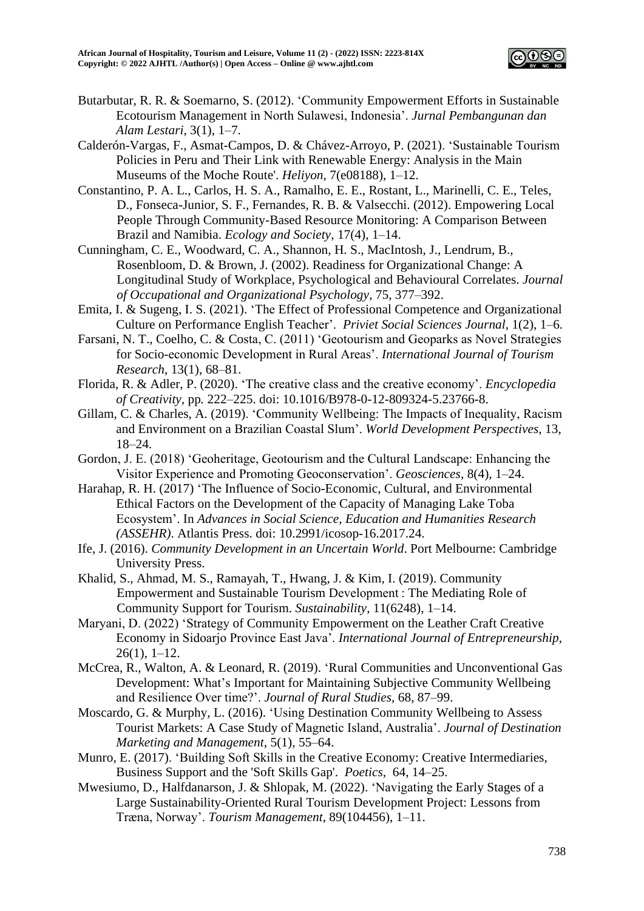

- Butarbutar, R. R. & Soemarno, S. (2012). 'Community Empowerment Efforts in Sustainable Ecotourism Management in North Sulawesi, Indonesia'. *Jurnal Pembangunan dan Alam Lestari*, 3(1), 1–7.
- Calderón-Vargas, F., Asmat-Campos, D. & Chávez-Arroyo, P. (2021). 'Sustainable Tourism Policies in Peru and Their Link with Renewable Energy: Analysis in the Main Museums of the Moche Route'. *Heliyon*, 7(e08188), 1–12.
- Constantino, P. A. L., Carlos, H. S. A., Ramalho, E. E., Rostant, L., Marinelli, C. E., Teles, D., Fonseca-Junior, S. F., Fernandes, R. B. & Valsecchi. (2012). Empowering Local People Through Community-Based Resource Monitoring: A Comparison Between Brazil and Namibia. *Ecology and Society*, 17(4), 1–14.
- Cunningham, C. E., Woodward, C. A., Shannon, H. S., MacIntosh, J., Lendrum, B., Rosenbloom, D. & Brown, J. (2002). Readiness for Organizational Change: A Longitudinal Study of Workplace, Psychological and Behavioural Correlates. *Journal of Occupational and Organizational Psychology*, 75, 377–392.
- Emita, I. & Sugeng, I. S. (2021). 'The Effect of Professional Competence and Organizational Culture on Performance English Teacher'. *Priviet Social Sciences Journal*, 1(2), 1–6.
- Farsani, N. T., Coelho, C. & Costa, C. (2011) 'Geotourism and Geoparks as Novel Strategies for Socio-economic Development in Rural Areas'. *International Journal of Tourism Research*, 13(1), 68–81.
- Florida, R. & Adler, P. (2020). 'The creative class and the creative economy'. *Encyclopedia of Creativity,* pp*.* 222–225. doi: 10.1016/B978-0-12-809324-5.23766-8.
- Gillam, C. & Charles, A. (2019). 'Community Wellbeing: The Impacts of Inequality, Racism and Environment on a Brazilian Coastal Slum'. *World Development Perspectives*, 13, 18–24.
- Gordon, J. E. (2018) 'Geoheritage, Geotourism and the Cultural Landscape: Enhancing the Visitor Experience and Promoting Geoconservation'. *Geosciences*, 8(4), 1–24.
- Harahap, R. H. (2017) 'The Influence of Socio-Economic, Cultural, and Environmental Ethical Factors on the Development of the Capacity of Managing Lake Toba Ecosystem'. In *Advances in Social Science, Education and Humanities Research (ASSEHR)*. Atlantis Press. doi: 10.2991/icosop-16.2017.24.
- Ife, J. (2016). *Community Development in an Uncertain World*. Port Melbourne: Cambridge University Press.
- Khalid, S., Ahmad, M. S., Ramayah, T., Hwang, J. & Kim, I. (2019). Community Empowerment and Sustainable Tourism Development : The Mediating Role of Community Support for Tourism. *Sustainability*, 11(6248), 1–14.
- Maryani, D. (2022) 'Strategy of Community Empowerment on the Leather Craft Creative Economy in Sidoarjo Province East Java'. *International Journal of Entrepreneurship*,  $26(1)$ , 1–12.
- McCrea, R., Walton, A. & Leonard, R. (2019). 'Rural Communities and Unconventional Gas Development: What's Important for Maintaining Subjective Community Wellbeing and Resilience Over time?'. *Journal of Rural Studies*, 68, 87–99.
- Moscardo, G. & Murphy, L. (2016). 'Using Destination Community Wellbeing to Assess Tourist Markets: A Case Study of Magnetic Island, Australia'. *Journal of Destination Marketing and Management*, 5(1), 55–64.
- Munro, E. (2017). 'Building Soft Skills in the Creative Economy: Creative Intermediaries, Business Support and the 'Soft Skills Gap'. *Poetics*, 64, 14–25.
- Mwesiumo, D., Halfdanarson, J. & Shlopak, M. (2022). 'Navigating the Early Stages of a Large Sustainability-Oriented Rural Tourism Development Project: Lessons from Træna, Norway'. *Tourism Management*, 89(104456), 1–11.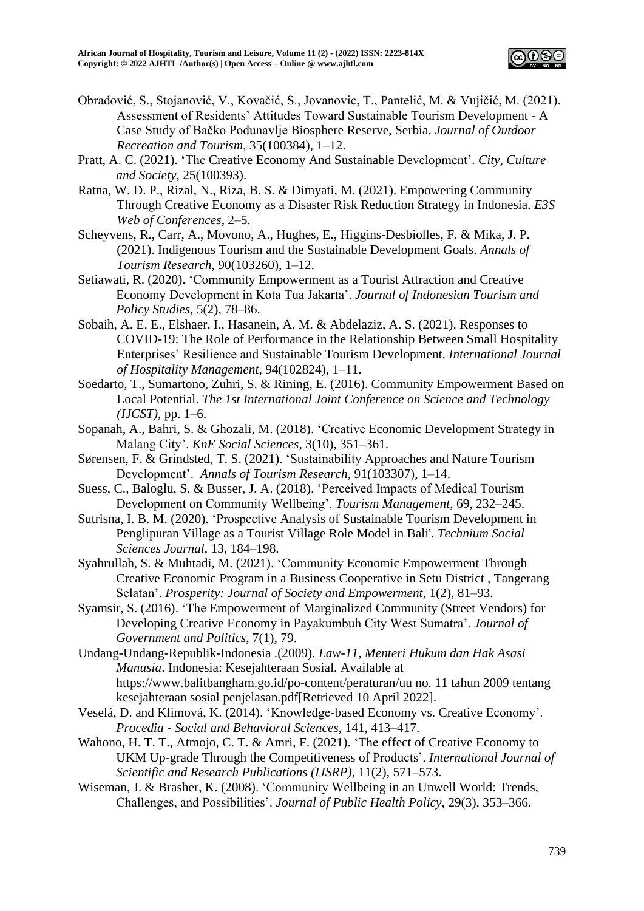

- Obradović, S., Stojanović, V., Kovačić, S., Jovanovic, T., Pantelić, M. & Vujičić, M. (2021). Assessment of Residents' Attitudes Toward Sustainable Tourism Development - A Case Study of Bačko Podunavlje Biosphere Reserve, Serbia. *Journal of Outdoor Recreation and Tourism*, 35(100384), 1–12.
- Pratt, A. C. (2021). 'The Creative Economy And Sustainable Development'. *City, Culture and Society*, 25(100393).
- Ratna, W. D. P., Rizal, N., Riza, B. S. & Dimyati, M. (2021). Empowering Community Through Creative Economy as a Disaster Risk Reduction Strategy in Indonesia. *E3S Web of Conferences*, 2–5.
- Scheyvens, R., Carr, A., Movono, A., Hughes, E., Higgins-Desbiolles, F. & Mika, J. P. (2021). Indigenous Tourism and the Sustainable Development Goals. *Annals of Tourism Research*, 90(103260), 1–12.
- Setiawati, R. (2020). 'Community Empowerment as a Tourist Attraction and Creative Economy Development in Kota Tua Jakarta'. *Journal of Indonesian Tourism and Policy Studies*, 5(2), 78–86.
- Sobaih, A. E. E., Elshaer, I., Hasanein, A. M. & Abdelaziz, A. S. (2021). Responses to COVID-19: The Role of Performance in the Relationship Between Small Hospitality Enterprises' Resilience and Sustainable Tourism Development. *International Journal of Hospitality Management*, 94(102824), 1–11.
- Soedarto, T., Sumartono, Zuhri, S. & Rining, E. (2016). Community Empowerment Based on Local Potential. *The 1st International Joint Conference on Science and Technology (IJCST)*, pp. 1–6.
- Sopanah, A., Bahri, S. & Ghozali, M. (2018). 'Creative Economic Development Strategy in Malang City'. *KnE Social Sciences*, 3(10), 351–361.
- Sørensen, F. & Grindsted, T. S. (2021). 'Sustainability Approaches and Nature Tourism Development'. *Annals of Tourism Research*, 91(103307), 1–14.
- Suess, C., Baloglu, S. & Busser, J. A. (2018). 'Perceived Impacts of Medical Tourism Development on Community Wellbeing'. *Tourism Management*, 69, 232–245.
- Sutrisna, I. B. M. (2020). 'Prospective Analysis of Sustainable Tourism Development in Penglipuran Village as a Tourist Village Role Model in Bali'. *Technium Social Sciences Journal*, 13, 184–198.
- Syahrullah, S. & Muhtadi, M. (2021). 'Community Economic Empowerment Through Creative Economic Program in a Business Cooperative in Setu District , Tangerang Selatan'. *Prosperity: Journal of Society and Empowerment*, 1(2), 81–93.
- Syamsir, S. (2016). 'The Empowerment of Marginalized Community (Street Vendors) for Developing Creative Economy in Payakumbuh City West Sumatra'. *Journal of Government and Politics*, 7(1), 79.
- Undang-Undang-Republik-Indonesia .(2009). *Law-11*, *Menteri Hukum dan Hak Asasi Manusia*. Indonesia: Kesejahteraan Sosial. Available at https://www.balitbangham.go.id/po-content/peraturan/uu no. 11 tahun 2009 tentang kesejahteraan sosial penjelasan.pdf[Retrieved 10 April 2022].
- Veselá, D. and Klimová, K. (2014). 'Knowledge-based Economy vs. Creative Economy'. *Procedia - Social and Behavioral Sciences*, 141, 413–417.
- Wahono, H. T. T., Atmojo, C. T. & Amri, F. (2021). 'The effect of Creative Economy to UKM Up-grade Through the Competitiveness of Products'. *International Journal of Scientific and Research Publications (IJSRP)*, 11(2), 571–573.
- Wiseman, J. & Brasher, K. (2008). 'Community Wellbeing in an Unwell World: Trends, Challenges, and Possibilities'. *Journal of Public Health Policy*, 29(3), 353–366.